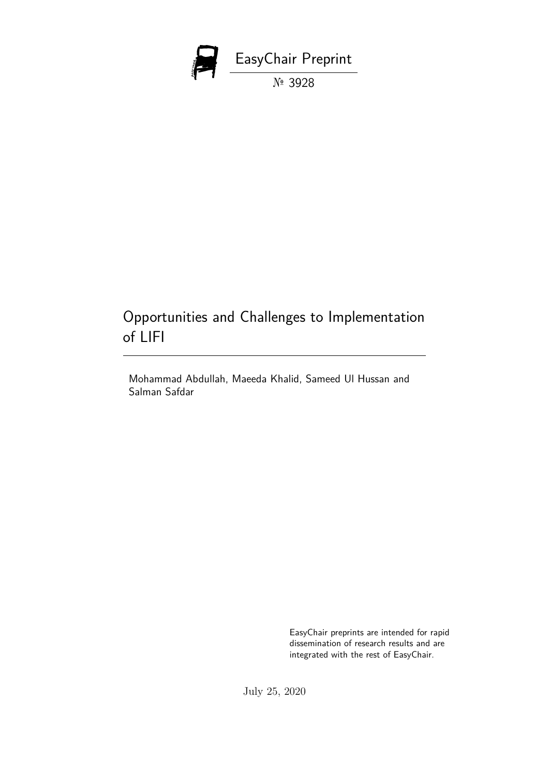

# Opportunities and Challenges to Implementation of LIFI

Mohammad Abdullah, Maeeda Khalid, Sameed Ul Hussan and Salman Safdar

> EasyChair preprints are intended for rapid dissemination of research results and are integrated with the rest of EasyChair.

July 25, 2020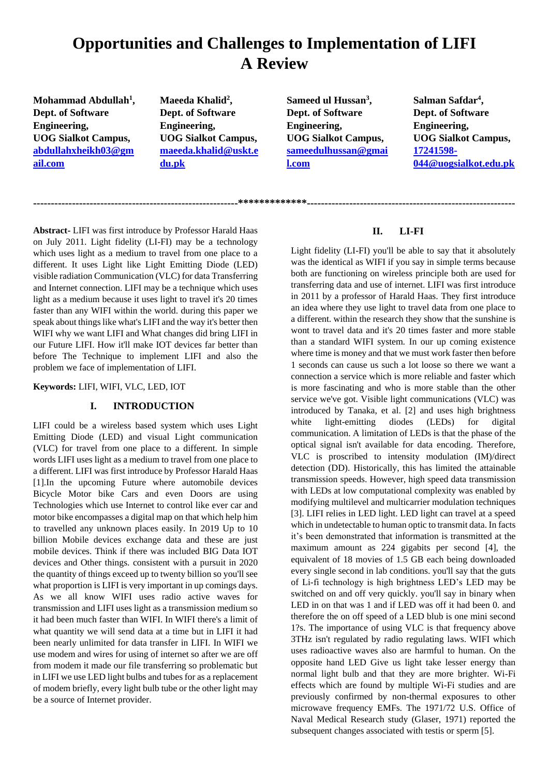# **Opportunities and Challenges to Implementation of LIFI A Review**

**----------------------------------------------------------\*\*\*\*\*\*\*\*\*\*\*\*\*-----------------------------------------------------------**

**Mohammad Abdullah<sup>1</sup> , Dept. of Software Engineering, UOG Sialkot Campus, [abdullahxheikh03@gm](mailto:abdullahxheikh03@gmail.com) [ail.com](mailto:abdullahxheikh03@gmail.com)**

**Maeeda Khalid<sup>2</sup> , Dept. of Software Engineering, UOG Sialkot Campus, [maeeda.khalid@uskt.e](mailto:maeeda.khalid@uskt.edu.pk) [du.pk](mailto:maeeda.khalid@uskt.edu.pk)**

**Sameed ul Hussan<sup>3</sup> , Dept. of Software Engineering, UOG Sialkot Campus, [sameedulhussan@gmai](mailto:sameedulhussan@gmail.com) [l.com](mailto:sameedulhussan@gmail.com)**

**Salman Safdar<sup>4</sup> , Dept. of Software Engineering, UOG Sialkot Campus, [17241598-](mailto:17241598-044@uogsialkot.edu.pk) [044@uogsialkot.edu.pk](mailto:17241598-044@uogsialkot.edu.pk)**

**Abstract-** LIFI was first introduce by Professor Harald Haas on July 2011. Light fidelity (LI-FI) may be a technology which uses light as a medium to travel from one place to a different. It uses Light like Light Emitting Diode (LED) visible radiation Communication (VLC) for data Transferring and Internet connection. LIFI may be a technique which uses light as a medium because it uses light to travel it's 20 times faster than any WIFI within the world. during this paper we speak about things like what's LIFI and the way it's better then WIFI why we want LIFI and What changes did bring LIFI in our Future LIFI. How it'll make IOT devices far better than before The Technique to implement LIFI and also the problem we face of implementation of LIFI.

**Keywords:** LIFI, WIFI, VLC, LED, IOT

### **I. INTRODUCTION**

LIFI could be a wireless based system which uses Light Emitting Diode (LED) and visual Light communication (VLC) for travel from one place to a different. In simple words LIFI uses light as a medium to travel from one place to a different. LIFI was first introduce by Professor Harald Haas [1].In the upcoming Future where automobile devices Bicycle Motor bike Cars and even Doors are using Technologies which use Internet to control like ever car and motor bike encompasses a digital map on that which help him to travelled any unknown places easily. In 2019 Up to 10 billion Mobile devices exchange data and these are just mobile devices. Think if there was included BIG Data IOT devices and Other things. consistent with a pursuit in 2020 the quantity of things exceed up to twenty billion so you'll see what proportion is LIFI is very important in up comings days. As we all know WIFI uses radio active waves for transmission and LIFI uses light as a transmission medium so it had been much faster than WIFI. In WIFI there's a limit of what quantity we will send data at a time but in LIFI it had been nearly unlimited for data transfer in LIFI. In WIFI we use modem and wires for using of internet so after we are off from modem it made our file transferring so problematic but in LIFI we use LED light bulbs and tubes for as a replacement of modem briefly, every light bulb tube or the other light may be a source of Internet provider.

## **II. LI-FI**

Light fidelity (LI-FI) you'll be able to say that it absolutely was the identical as WIFI if you say in simple terms because both are functioning on wireless principle both are used for transferring data and use of internet. LIFI was first introduce in 2011 by a professor of Harald Haas. They first introduce an idea where they use light to travel data from one place to a different. within the research they show that the sunshine is wont to travel data and it's 20 times faster and more stable than a standard WIFI system. In our up coming existence where time is money and that we must work faster then before 1 seconds can cause us such a lot loose so there we want a connection a service which is more reliable and faster which is more fascinating and who is more stable than the other service we've got. Visible light communications (VLC) was introduced by Tanaka, et al. [2] and uses high brightness white light-emitting diodes (LEDs) for digital communication. A limitation of LEDs is that the phase of the optical signal isn't available for data encoding. Therefore, VLC is proscribed to intensity modulation (IM)/direct detection (DD). Historically, this has limited the attainable transmission speeds. However, high speed data transmission with LEDs at low computational complexity was enabled by modifying multilevel and multicarrier modulation techniques [3]. LIFI relies in LED light. LED light can travel at a speed which in undetectable to human optic to transmit data. In facts it's been demonstrated that information is transmitted at the maximum amount as 224 gigabits per second [4], the equivalent of 18 movies of 1.5 GB each being downloaded every single second in lab conditions. you'll say that the guts of Li-fi technology is high brightness LED's LED may be switched on and off very quickly. you'll say in binary when LED in on that was 1 and if LED was off it had been 0. and therefore the on off speed of a LED blub is one mini second 1?s. The importance of using VLC is that frequency above 3THz isn't regulated by radio regulating laws. WIFI which uses radioactive waves also are harmful to human. On the opposite hand LED Give us light take lesser energy than normal light bulb and that they are more brighter. Wi-Fi effects which are found by multiple Wi-Fi studies and are previously confirmed by non-thermal exposures to other microwave frequency EMFs. The 1971/72 U.S. Office of Naval Medical Research study (Glaser, 1971) reported the subsequent changes associated with testis or sperm [5].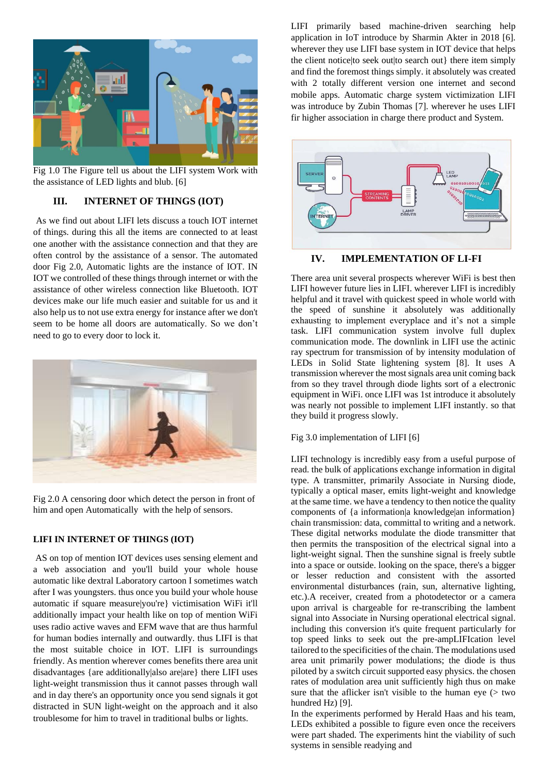

Fig 1.0 The Figure tell us about the LIFI system Work with the assistance of LED lights and blub. [6]

## **III. INTERNET OF THINGS (IOT)**

As we find out about LIFI lets discuss a touch IOT internet of things. during this all the items are connected to at least one another with the assistance connection and that they are often control by the assistance of a sensor. The automated door Fig 2.0, Automatic lights are the instance of IOT. IN IOT we controlled of these things through internet or with the assistance of other wireless connection like Bluetooth. IOT devices make our life much easier and suitable for us and it also help us to not use extra energy for instance after we don't seem to be home all doors are automatically. So we don't need to go to every door to lock it.



Fig 2.0 A censoring door which detect the person in front of him and open Automatically with the help of sensors.

### **LIFI IN INTERNET OF THINGS (IOT)**

AS on top of mention IOT devices uses sensing element and a web association and you'll build your whole house automatic like dextral Laboratory cartoon I sometimes watch after I was youngsters. thus once you build your whole house automatic if square measure|you're} victimisation WiFi it'll additionally impact your health like on top of mention WiFi uses radio active waves and EFM wave that are thus harmful for human bodies internally and outwardly. thus LIFI is that the most suitable choice in IOT. LIFI is surroundings friendly. As mention wherever comes benefits there area unit disadvantages {are additionally|also are|are} there LIFI uses light-weight transmission thus it cannot passes through wall and in day there's an opportunity once you send signals it got distracted in SUN light-weight on the approach and it also troublesome for him to travel in traditional bulbs or lights.

LIFI primarily based machine-driven searching help application in IoT introduce by Sharmin Akter in 2018 [6]. wherever they use LIFI base system in IOT device that helps the client notice|to seek out|to search out} there item simply and find the foremost things simply. it absolutely was created with 2 totally different version one internet and second mobile apps. Automatic charge system victimization LIFI was introduce by Zubin Thomas [7]. wherever he uses LIFI fir higher association in charge there product and System.



**IV. IMPLEMENTATION OF LI-FI**

There area unit several prospects wherever WiFi is best then LIFI however future lies in LIFI. wherever LIFI is incredibly helpful and it travel with quickest speed in whole world with the speed of sunshine it absolutely was additionally exhausting to implement everyplace and it's not a simple task. LIFI communication system involve full duplex communication mode. The downlink in LIFI use the actinic ray spectrum for transmission of by intensity modulation of LEDs in Solid State lightening system [8]. It uses A transmission wherever the most signals area unit coming back from so they travel through diode lights sort of a electronic equipment in WiFi. once LIFI was 1st introduce it absolutely was nearly not possible to implement LIFI instantly. so that they build it progress slowly.

### Fig 3.0 implementation of LIFI [6]

LIFI technology is incredibly easy from a useful purpose of read. the bulk of applications exchange information in digital type. A transmitter, primarily Associate in Nursing diode, typically a optical maser, emits light-weight and knowledge at the same time. we have a tendency to then notice the quality components of {a information|a knowledge|an information} chain transmission: data, committal to writing and a network. These digital networks modulate the diode transmitter that then permits the transposition of the electrical signal into a light-weight signal. Then the sunshine signal is freely subtle into a space or outside. looking on the space, there's a bigger or lesser reduction and consistent with the assorted environmental disturbances (rain, sun, alternative lighting, etc.).A receiver, created from a photodetector or a camera upon arrival is chargeable for re-transcribing the lambent signal into Associate in Nursing operational electrical signal. including this conversion it's quite frequent particularly for top speed links to seek out the pre-ampLIFIcation level tailored to the specificities of the chain. The modulations used area unit primarily power modulations; the diode is thus piloted by a switch circuit supported easy physics. the chosen rates of modulation area unit sufficiently high thus on make sure that the aflicker isn't visible to the human eye  $($  two hundred Hz) [9].

In the experiments performed by Herald Haas and his team, LEDs exhibited a possible to figure even once the receivers were part shaded. The experiments hint the viability of such systems in sensible readying and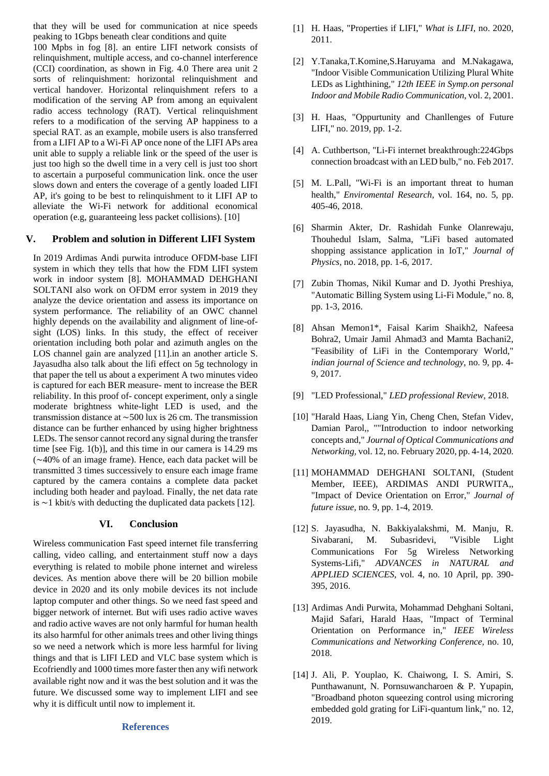that they will be used for communication at nice speeds peaking to 1Gbps beneath clear conditions and quite 100 Mpbs in fog [8]. an entire LIFI network consists of relinquishment, multiple access, and co-channel interference (CCI) coordination, as shown in Fig. 4.0 There area unit 2 sorts of relinquishment: horizontal relinquishment and vertical handover. Horizontal relinquishment refers to a modification of the serving AP from among an equivalent radio access technology (RAT). Vertical relinquishment refers to a modification of the serving AP happiness to a special RAT. as an example, mobile users is also transferred from a LIFI AP to a Wi-Fi AP once none of the LIFI APs area unit able to supply a reliable link or the speed of the user is just too high so the dwell time in a very cell is just too short to ascertain a purposeful communication link. once the user slows down and enters the coverage of a gently loaded LIFI AP, it's going to be best to relinquishment to it LIFI AP to alleviate the Wi-Fi network for additional economical operation (e.g, guaranteeing less packet collisions). [10]

### **V. Problem and solution in Different LIFI System**

In 2019 Ardimas Andi purwita introduce OFDM-base LIFI system in which they tells that how the FDM LIFI system work in indoor system [8]. MOHAMMAD DEHGHANI SOLTANI also work on OFDM error system in 2019 they analyze the device orientation and assess its importance on system performance. The reliability of an OWC channel highly depends on the availability and alignment of line-ofsight (LOS) links. In this study, the effect of receiver orientation including both polar and azimuth angles on the LOS channel gain are analyzed [11].in an another article S. Jayasudha also talk about the lifi effect on 5g technology in that paper the tell us about a experiment A two minutes video is captured for each BER measure- ment to increase the BER reliability. In this proof of- concept experiment, only a single moderate brightness white-light LED is used, and the transmission distance at ∼500 lux is 26 cm. The transmission distance can be further enhanced by using higher brightness LEDs. The sensor cannot record any signal during the transfer time [see Fig. 1(b)], and this time in our camera is 14.29 ms (∼40% of an image frame). Hence, each data packet will be transmitted 3 times successively to ensure each image frame captured by the camera contains a complete data packet including both header and payload. Finally, the net data rate is ∼1 kbit/s with deducting the duplicated data packets [12].

#### **VI. Conclusion**

Wireless communication Fast speed internet file transferring calling, video calling, and entertainment stuff now a days everything is related to mobile phone internet and wireless devices. As mention above there will be 20 billion mobile device in 2020 and its only mobile devices its not include laptop computer and other things. So we need fast speed and bigger network of internet. But wifi uses radio active waves and radio active waves are not only harmful for human health its also harmful for other animals trees and other living things so we need a network which is more less harmful for living things and that is LIFI LED and VLC base system which is Ecofriendly and 1000 times more faster then any wifi network available right now and it was the best solution and it was the future. We discussed some way to implement LIFI and see why it is difficult until now to implement it.

#### **References**

- [1] H. Haas, "Properties if LIFI," *What is LIFI,* no. 2020, 2011.
- [2] Y.Tanaka,T.Komine,S.Haruyama and M.Nakagawa, "Indoor Visible Communication Utilizing Plural White LEDs as Lighthining," *12th IEEE in Symp.on personal Indoor and Mobile Radio Communication,* vol. 2, 2001.
- [3] H. Haas, "Oppurtunity and Chanllenges of Future LIFI," no. 2019, pp. 1-2.
- [4] A. Cuthbertson, "Li-Fi internet breakthrough:224Gbps connection broadcast with an LED bulb," no. Feb 2017.
- [5] M. L.Pall, "Wi-Fi is an important threat to human health," *Enviromental Research,* vol. 164, no. 5, pp. 405-46, 2018.
- [6] Sharmin Akter, Dr. Rashidah Funke Olanrewaju, Thouhedul Islam, Salma, "LiFi based automated shopping assistance application in IoT," *Journal of Physics,* no. 2018, pp. 1-6, 2017.
- [7] Zubin Thomas, Nikil Kumar and D. Jyothi Preshiya, "Automatic Billing System using Li-Fi Module," no. 8, pp. 1-3, 2016.
- [8] Ahsan Memon1\*, Faisal Karim Shaikh2, Nafeesa Bohra2, Umair Jamil Ahmad3 and Mamta Bachani2, "Feasibility of LiFi in the Contemporary World," *indian journal of Science and technology,* no. 9, pp. 4- 9, 2017.
- [9] "LED Professional," *LED professional Review,* 2018.
- [10] "Harald Haas, Liang Yin, Cheng Chen, Stefan Videv, Damian Parol,, ""Introduction to indoor networking concepts and," *Journal of Optical Communications and Networking,* vol. 12, no. February 2020, pp. 4-14, 2020.
- [11] MOHAMMAD DEHGHANI SOLTANI, (Student Member, IEEE), ARDIMAS ANDI PURWITA,, "Impact of Device Orientation on Error," *Journal of future issue,* no. 9, pp. 1-4, 2019.
- [12] S. Jayasudha, N. Bakkiyalakshmi, M. Manju, R. Sivabarani, M. Subasridevi, "Visible Light Communications For 5g Wireless Networking Systems-Lifi," *ADVANCES in NATURAL and APPLIED SCIENCES,* vol. 4, no. 10 April, pp. 390- 395, 2016.
- [13] Ardimas Andi Purwita, Mohammad Dehghani Soltani, Majid Safari, Harald Haas, "Impact of Terminal Orientation on Performance in," *IEEE Wireless Communications and Networking Conference,* no. 10, 2018.
- [14] J. Ali, P. Youplao, K. Chaiwong, I. S. Amiri, S. Punthawanunt, N. Pornsuwancharoen & P. Yupapin, "Broadband photon squeezing control using microring embedded gold grating for LiFi-quantum link," no. 12, 2019.